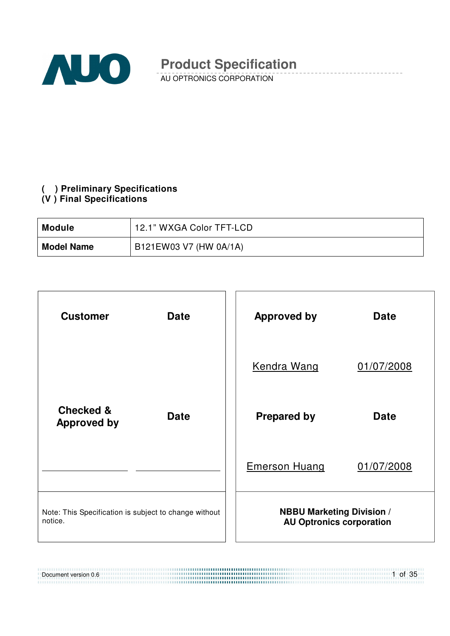

AU OPTRONICS CORPORATION

### **( ) Preliminary Specifications**

### **(V ) Final Specifications**

| Module            | 12.1" WXGA Color TFT-LCD |
|-------------------|--------------------------|
| <b>Model Name</b> | B121EW03 V7 (HW 0A/1A)   |

| <b>Customer</b>                                                  | <b>Date</b> | <b>Approved by</b>                                                  | <b>Date</b> |
|------------------------------------------------------------------|-------------|---------------------------------------------------------------------|-------------|
|                                                                  |             | <b>Kendra Wang</b>                                                  | 01/07/2008  |
| <b>Checked &amp;</b><br><b>Approved by</b>                       | <b>Date</b> | <b>Prepared by</b>                                                  | <b>Date</b> |
|                                                                  |             | <b>Emerson Huang</b>                                                | 01/07/2008  |
| Note: This Specification is subject to change without<br>notice. |             | <b>NBBU Marketing Division /</b><br><b>AU Optronics corporation</b> |             |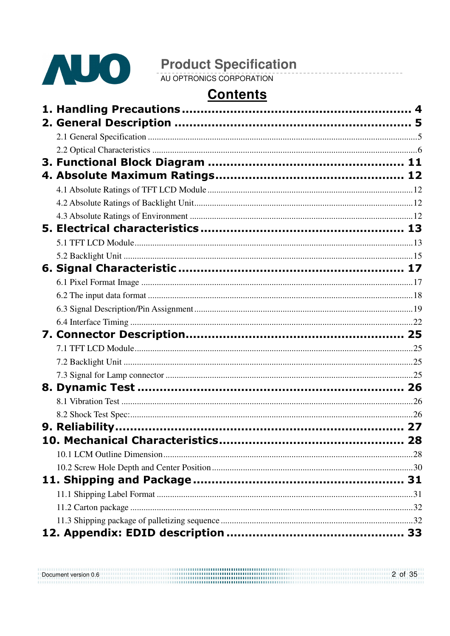

## **Contents**

| Document version 0.6 | 2 of 35 |
|----------------------|---------|
|                      |         |
|                      |         |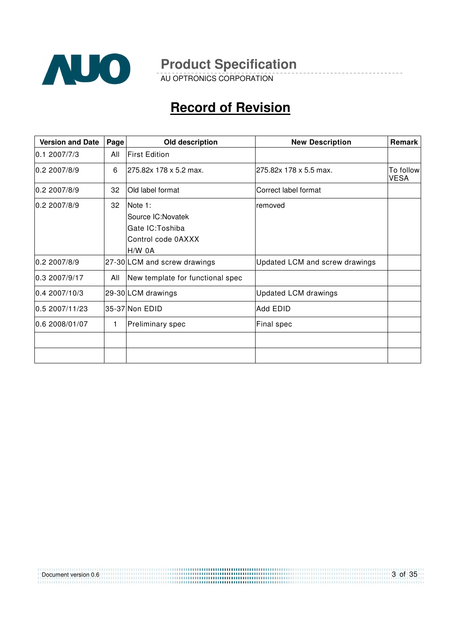

AU OPTRONICS CORPORATION

## **Record of Revision**

| <b>Version and Date</b> | Page | Old description                                                                          | <b>New Description</b>         | Remark                   |
|-------------------------|------|------------------------------------------------------------------------------------------|--------------------------------|--------------------------|
| 0.12007/7/3             | All  | <b>First Edition</b>                                                                     |                                |                          |
| 0.22007/8/9             | 6    | l275.82x 178 x 5.2 max.                                                                  | 275.82x 178 x 5.5 max.         | To follow<br><b>VESA</b> |
| 0.2 2007/8/9            | 32   | Old label format                                                                         | Correct label format           |                          |
| 0.22007/8/9             | 32   | <b>Note 1:</b><br>Source IC: Novatek<br>Gate IC: Toshiba<br>Control code 0AXXX<br>H/W 0A | removed                        |                          |
| 0.22007/8/9             |      | 27-30 LCM and screw drawings                                                             | Updated LCM and screw drawings |                          |
| 0.3 2007/9/17           | All  | New template for functional spec                                                         |                                |                          |
| 0.4 2007/10/3           |      | 29-30 LCM drawings                                                                       | <b>Updated LCM drawings</b>    |                          |
| 0.5 2007/11/23          |      | 35-37 Non EDID                                                                           | Add EDID                       |                          |
| 0.6 2008/01/07          | 1    | Preliminary spec                                                                         | Final spec                     |                          |
|                         |      |                                                                                          |                                |                          |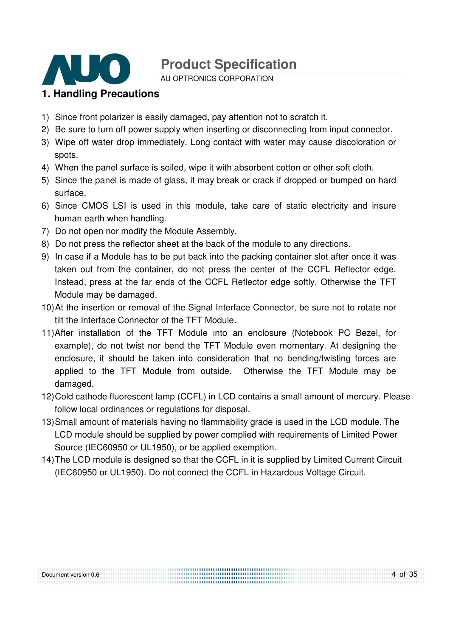

AU OPTRONICS CORPORATION

### **1. Handling Precautions**

- 1) Since front polarizer is easily damaged, pay attention not to scratch it.
- 2) Be sure to turn off power supply when inserting or disconnecting from input connector.
- 3) Wipe off water drop immediately. Long contact with water may cause discoloration or spots.
- 4) When the panel surface is soiled, wipe it with absorbent cotton or other soft cloth.
- 5) Since the panel is made of glass, it may break or crack if dropped or bumped on hard surface.
- 6) Since CMOS LSI is used in this module, take care of static electricity and insure human earth when handling.
- 7) Do not open nor modify the Module Assembly.
- 8) Do not press the reflector sheet at the back of the module to any directions.
- 9) In case if a Module has to be put back into the packing container slot after once it was taken out from the container, do not press the center of the CCFL Reflector edge. Instead, press at the far ends of the CCFL Reflector edge softly. Otherwise the TFT Module may be damaged.
- 10) At the insertion or removal of the Signal Interface Connector, be sure not to rotate nor tilt the Interface Connector of the TFT Module.
- 11) After installation of the TFT Module into an enclosure (Notebook PC Bezel, for example), do not twist nor bend the TFT Module even momentary. At designing the enclosure, it should be taken into consideration that no bending/twisting forces are applied to the TFT Module from outside. Otherwise the TFT Module may be damaged.
- 12) Cold cathode fluorescent lamp (CCFL) in LCD contains a small amount of mercury. Please follow local ordinances or regulations for disposal.
- 13) Small amount of materials having no flammability grade is used in the LCD module. The LCD module should be supplied by power complied with requirements of Limited Power Source (IEC60950 or UL1950), or be applied exemption.
- 14) The LCD module is designed so that the CCFL in it is supplied by Limited Current Circuit (IEC60950 or UL1950). Do not connect the CCFL in Hazardous Voltage Circuit.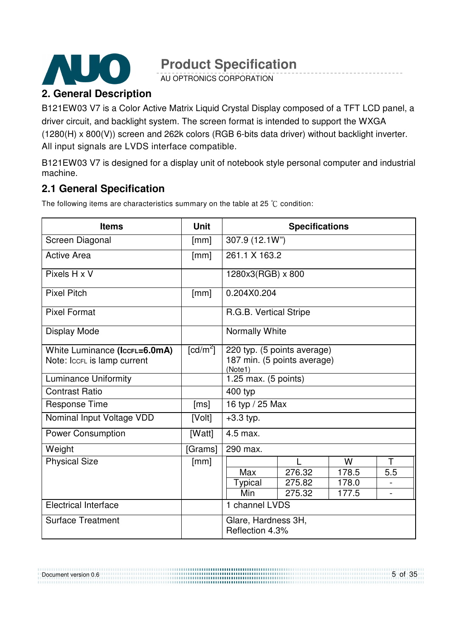

AU OPTRONICS CORPORATION

### **2. General Description**

B121EW03 V7 is a Color Active Matrix Liquid Crystal Display composed of a TFT LCD panel, a driver circuit, and backlight system. The screen format is intended to support the WXGA (1280(H) x 800(V)) screen and 262k colors (RGB 6-bits data driver) without backlight inverter. All input signals are LVDS interface compatible.

B121EW03 V7 is designed for a display unit of notebook style personal computer and industrial machine.

### **2.1 General Specification**

The following items are characteristics summary on the table at 25  $\degree$ C condition:

| <b>Items</b>                  | <b>Unit</b>            | <b>Specifications</b>                  |                |       |     |  |
|-------------------------------|------------------------|----------------------------------------|----------------|-------|-----|--|
| Screen Diagonal               | [mm]                   |                                        | 307.9 (12.1W") |       |     |  |
| <b>Active Area</b>            | [mm]                   | 261.1 X 163.2                          |                |       |     |  |
| Pixels H x V                  |                        | 1280x3(RGB) x 800                      |                |       |     |  |
| <b>Pixel Pitch</b>            | [mm]                   | 0.204X0.204                            |                |       |     |  |
| <b>Pixel Format</b>           |                        | R.G.B. Vertical Stripe                 |                |       |     |  |
| <b>Display Mode</b>           |                        | Normally White                         |                |       |     |  |
| White Luminance (Iccru=6.0mA) | $\lceil cd/m^2 \rceil$ | 220 typ. (5 points average)            |                |       |     |  |
| Note: Iccrl is lamp current   |                        | 187 min. (5 points average)<br>(Note1) |                |       |     |  |
| <b>Luminance Uniformity</b>   |                        | 1.25 max. (5 points)                   |                |       |     |  |
| <b>Contrast Ratio</b>         |                        | 400 typ                                |                |       |     |  |
| <b>Response Time</b>          | [ms]                   | 16 typ / 25 Max                        |                |       |     |  |
| Nominal Input Voltage VDD     | [Volt]                 | $+3.3$ typ.                            |                |       |     |  |
| <b>Power Consumption</b>      | [Watt]                 | 4.5 max.                               |                |       |     |  |
| Weight                        | [Grams]                | 290 max.                               |                |       |     |  |
| <b>Physical Size</b>          | [mm]                   |                                        |                | W     | Т   |  |
|                               |                        | Max                                    | 276.32         | 178.5 | 5.5 |  |
|                               |                        | Typical                                | 275.82         | 178.0 |     |  |
|                               |                        | Min                                    | 275.32         | 177.5 |     |  |
| <b>Electrical Interface</b>   |                        | 1 channel LVDS                         |                |       |     |  |
| <b>Surface Treatment</b>      |                        | Glare, Hardness 3H,                    |                |       |     |  |
|                               |                        | Reflection 4.3%                        |                |       |     |  |

#### 5 of 35 Document version 0.6 ,,,,,,,,,,,,,,,,,,,,,,,,,,,,,,,,,,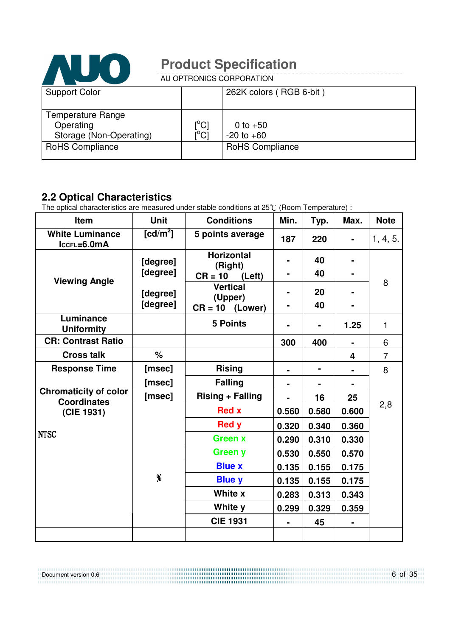

AU OPTRONICS CORPORATION

| <b>Support Color</b>                                             |                                 | 262K colors (RGB 6-bit)      |
|------------------------------------------------------------------|---------------------------------|------------------------------|
| <b>Temperature Range</b><br>Operating<br>Storage (Non-Operating) | $\rm \left[^{^{\circ}C}\right]$ | 0 to $+50$<br>$-20$ to $+60$ |
| <b>RoHS Compliance</b>                                           |                                 | <b>RoHS Compliance</b>       |

### **2.2 Optical Characteristics**

The optical characteristics are measured under stable conditions at 25°C (Room Temperature) :

| Item                                               | <b>Unit</b>          | <b>Conditions</b>            | Min.  | Typ.  | Max.  | <b>Note</b>    |
|----------------------------------------------------|----------------------|------------------------------|-------|-------|-------|----------------|
| <b>White Luminance</b><br>$lccFL=6.0mA$            | [cd/m <sup>2</sup> ] | 5 points average             | 187   | 220   |       | 1, 4, 5.       |
|                                                    | [degree]             | <b>Horizontal</b><br>(Right) |       | 40    |       |                |
| <b>Viewing Angle</b>                               | [degree]             | $CR = 10$ (Left)             |       | 40    |       | 8              |
|                                                    | [degree]             | <b>Vertical</b><br>(Upper)   |       | 20    |       |                |
|                                                    | [degree]             | $CR = 10$ (Lower)            |       | 40    |       |                |
| Luminance<br><b>Uniformity</b>                     |                      | <b>5 Points</b>              |       |       | 1.25  | $\mathbf{1}$   |
| <b>CR: Contrast Ratio</b>                          |                      |                              | 300   | 400   |       | 6              |
| <b>Cross talk</b>                                  | $\%$                 |                              |       |       | 4     | $\overline{7}$ |
| <b>Response Time</b>                               | [msec]               | <b>Rising</b>                |       | ۰     |       | 8              |
|                                                    | [msec]               | <b>Falling</b>               |       |       |       |                |
| <b>Chromaticity of color</b><br><b>Coordinates</b> | [msec]               | <b>Rising + Falling</b>      |       | 16    | 25    |                |
| (CIE 1931)                                         |                      | <b>Red x</b>                 | 0.560 | 0.580 | 0.600 | 2,8            |
|                                                    |                      | <b>Red y</b>                 | 0.320 | 0.340 | 0.360 |                |
| <b>NTSC</b>                                        |                      | <b>Green x</b>               | 0.290 | 0.310 | 0.330 |                |
|                                                    |                      | <b>Green y</b>               | 0.530 | 0.550 | 0.570 |                |
|                                                    |                      | <b>Blue x</b>                | 0.135 | 0.155 | 0.175 |                |
|                                                    | $\%$                 | <b>Blue y</b>                | 0.135 | 0.155 | 0.175 |                |
|                                                    |                      | White x                      | 0.283 | 0.313 | 0.343 |                |
|                                                    |                      | White y                      | 0.299 | 0.329 | 0.359 |                |
|                                                    |                      | <b>CIE 1931</b>              |       | 45    |       |                |
|                                                    |                      |                              |       |       |       |                |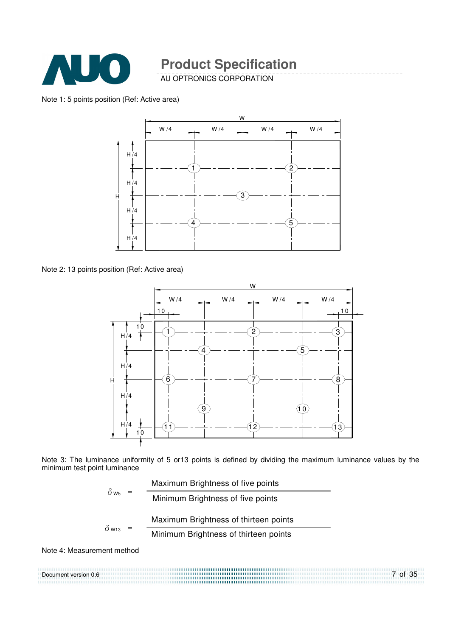

AU OPTRONICS CORPORATION

Note 1: 5 points position (Ref: Active area)



Note 2: 13 points position (Ref: Active area)



Note 3: The luminance uniformity of 5 or13 points is defined by dividing the maximum luminance values by the minimum test point luminance

| $\delta$ w <sub>5</sub> =  | Maximum Brightness of five points     |
|----------------------------|---------------------------------------|
|                            | Minimum Brightness of five points     |
|                            | Maximum Brightness of thirteen points |
| $\delta$ W <sub>13</sub> = | Minimum Brightness of thirteen points |

Note 4: Measurement method

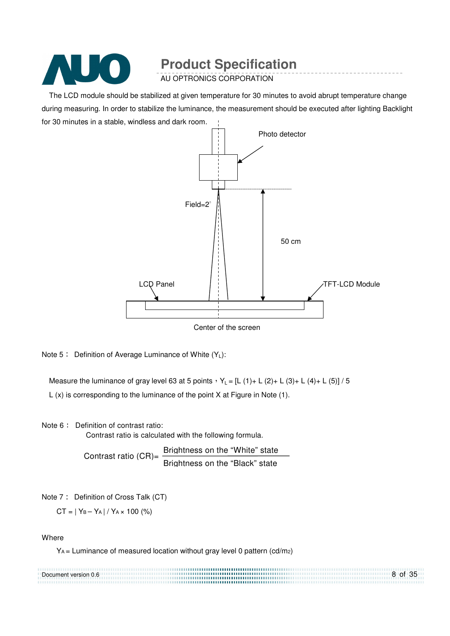

AU OPTRONICS CORPORATION

The LCD module should be stabilized at given temperature for 30 minutes to avoid abrupt temperature change during measuring. In order to stabilize the luminance, the measurement should be executed after lighting Backlight for 30 minutes in a stable, windless and dark room.



Center of the screen

Note  $5:$  Definition of Average Luminance of White  $(Y_1):$ 

Measure the luminance of gray level 63 at 5 points  $Y_L = [L (1) + L (2) + L (3) + L (4) + L (5)] / 5$ 

L (x) is corresponding to the luminance of the point X at Figure in Note (1).

Note 6: Definition of contrast ratio:

Contrast ratio is calculated with the following formula.

Contrast ratio  $(CR)$ =  $\frac{Brightness on the "White" state}$ Brightness on the "Black" state

Note 7: Definition of Cross Talk (CT)

 $CT = |Y_B - Y_A| / Y_A \times 100$  (%)

**Where** 

YA = Luminance of measured location without gray level 0 pattern (cd/m2)

| Document version 0.6 | 8 of 35 |
|----------------------|---------|
|                      |         |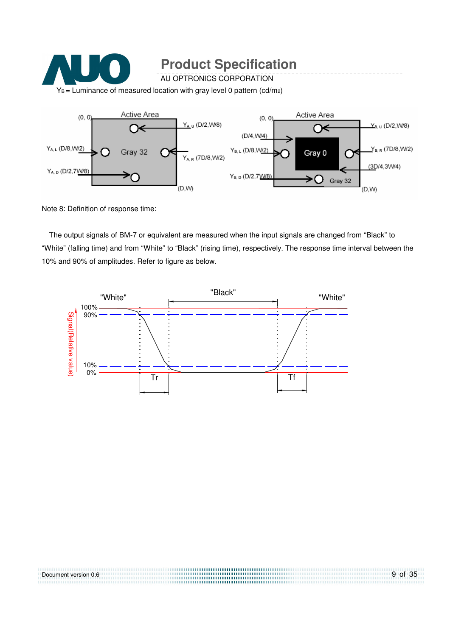

Note 8: Definition of response time:

The output signals of BM-7 or equivalent are measured when the input signals are changed from "Black" to "White" (falling time) and from "White" to "Black" (rising time), respectively. The response time interval between the 10% and 90% of amplitudes. Refer to figure as below.



| Document version 0.6 | 9 of 35 |
|----------------------|---------|
|                      |         |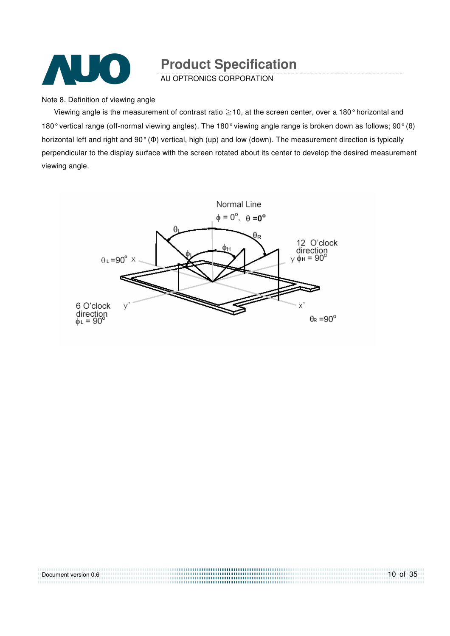

AU OPTRONICS CORPORATION

Note 8. Definition of viewing angle

Viewing angle is the measurement of contrast ratio  $\geq$  10, at the screen center, over a 180° horizontal and 180° vertical range (off-normal viewing angles). The 180° viewing angle range is broken down as follows; 90° (θ) horizontal left and right and 90° (Φ) vertical, high (up) and low (down). The measurement direction is typically perpendicular to the display surface with the screen rotated about its center to develop the desired measurement viewing angle.



| Document version 0.6 | $10$ of 35 |
|----------------------|------------|
|                      |            |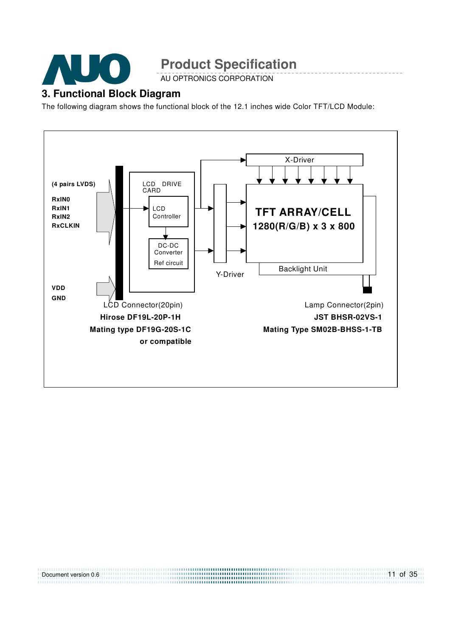

AU OPTRONICS CORPORATION

### **3. Functional Block Diagram**

The following diagram shows the functional block of the 12.1 inches wide Color TFT/LCD Module:



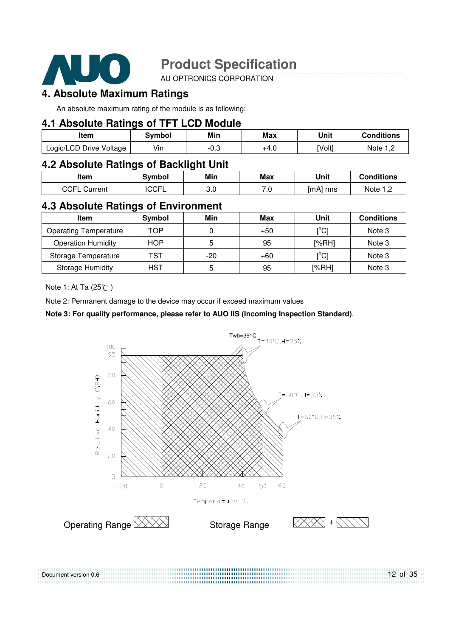

AU OPTRONICS CORPORATION

### **4. Absolute Maximum Ratings**

An absolute maximum rating of the module is as following:

### **4.1 Absolute Ratings of TFT LCD Module**

| Item                    | Svmbol          | Min  | Max  | Unit   | <b>Conditions</b> |
|-------------------------|-----------------|------|------|--------|-------------------|
| Logic/LCD Drive Voltage | $\cdots$<br>Vın | -0.J | +4.U | [Volt] | Note 1 T          |

### **4.2 Absolute Ratings of Backlight Unit**

| <b>Item</b>         | Svmbol       | Min      | Max       | Unit     | <b>Conditions</b> |
|---------------------|--------------|----------|-----------|----------|-------------------|
| <b>CCFL Current</b> | <b>'CCFL</b> | ົ<br>v.v | ה ד<br>.v | [mA] rms | Note              |

### **4.3 Absolute Ratings of Environment**

| Item                         | Symbol     | Min | Max   | Unit                          | <b>Conditions</b> |
|------------------------------|------------|-----|-------|-------------------------------|-------------------|
| <b>Operating Temperature</b> | TOP        |     | $+50$ | $\mathsf{I}^\circ\mathsf{Cl}$ | Note 3            |
| <b>Operation Humidity</b>    | <b>HOP</b> |     | 95    | [%RH]                         | Note 3            |
| Storage Temperature          | <b>TST</b> | -20 | $+60$ | [°C]                          | Note 3            |
| <b>Storage Humidity</b>      | <b>HST</b> | b   | 95    | [%RH]                         | Note 3            |

Note 1: At Ta (25°C)

Document version 0.6

Note 2: Permanent damage to the device may occur if exceed maximum values

### **Note 3: For quality performance, please refer to AUO IIS (Incoming Inspection Standard)**.



........................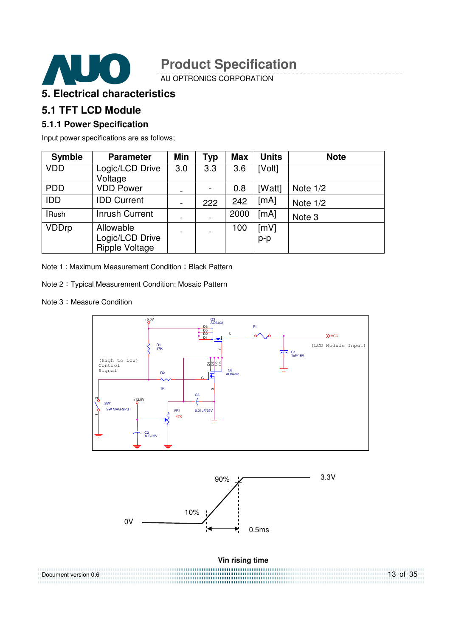

AU OPTRONICS CORPORATION

### **5. Electrical characteristics**

### **5.1 TFT LCD Module**

### **5.1.1 Power Specification**

Input power specifications are as follows;

| <b>Symble</b> | <b>Parameter</b>                                      | Min                          | Typ | <b>Max</b> | <b>Units</b>  | <b>Note</b> |
|---------------|-------------------------------------------------------|------------------------------|-----|------------|---------------|-------------|
| <b>VDD</b>    | Logic/LCD Drive<br>Voltage                            | 3.0                          | 3.3 | 3.6        | [Volt]        |             |
| <b>PDD</b>    | <b>VDD Power</b>                                      |                              |     | 0.8        | [Watt]        | Note $1/2$  |
| <b>IDD</b>    | <b>IDD Current</b>                                    | $\qquad \qquad \blacksquare$ | 222 | 242        | [mA]          | Note $1/2$  |
| <b>IRush</b>  | <b>Inrush Current</b>                                 |                              |     | 2000       | [mA]          | Note 3      |
| <b>VDDrp</b>  | Allowable<br>Logic/LCD Drive<br><b>Ripple Voltage</b> | ۰                            |     | 100        | [mV]<br>$p-p$ |             |

Note 1 : Maximum Measurement Condition : Black Pattern

Note 2 Typical Measurement Condition: Mosaic Pattern

#### Note 3: Measure Condition





**Vin rising time** 

13 of 35 Document version 0.6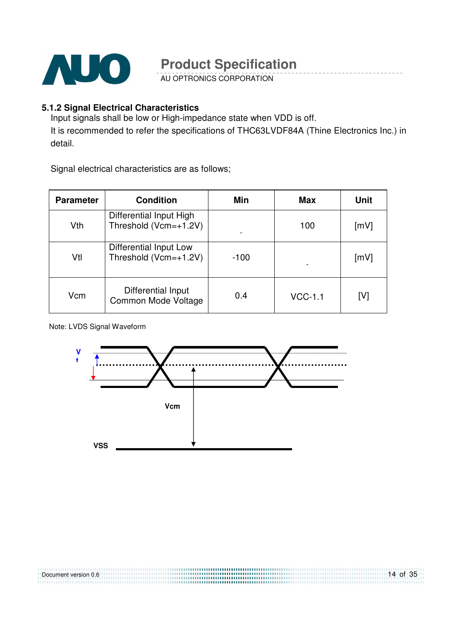

AU OPTRONICS CORPORATION

### **5.1.2 Signal Electrical Characteristics**

Input signals shall be low or High-impedance state when VDD is off. It is recommended to refer the specifications of THC63LVDF84A (Thine Electronics Inc.) in detail.

Signal electrical characteristics are as follows;

| <b>Parameter</b> | <b>Condition</b>                                 | Min    | <b>Max</b> | <b>Unit</b> |
|------------------|--------------------------------------------------|--------|------------|-------------|
| Vth              | Differential Input High<br>Threshold (Vcm=+1.2V) |        | 100        | [mV]        |
| Vtl              | Differential Input Low<br>Threshold (Vcm=+1.2V)  | $-100$ |            | [mV]        |
| Vcm              | Differential Input<br>Common Mode Voltage        | 0.4    | $VCC-1.1$  | [V]         |

Note: LVDS Signal Waveform

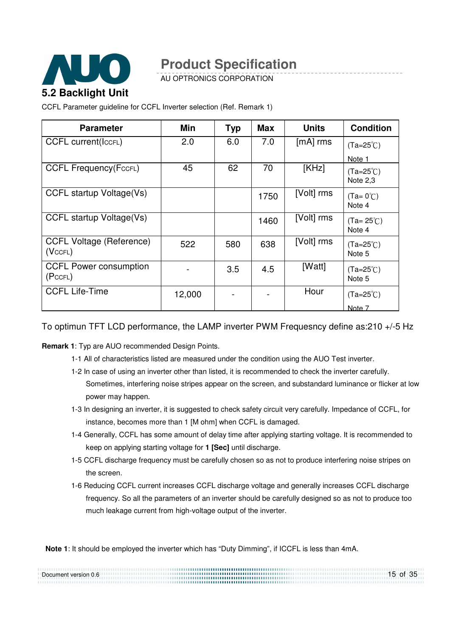

AU OPTRONICS CORPORATION

CCFL Parameter guideline for CCFL Inverter selection (Ref. Remark 1)

| <b>Parameter</b>                           | Min    | <b>Typ</b> | <b>Max</b> | <b>Units</b> | <b>Condition</b>               |
|--------------------------------------------|--------|------------|------------|--------------|--------------------------------|
| <b>CCFL current(IccFL)</b>                 | 2.0    | 6.0        | 7.0        | $[mA]$ rms   | $(Ta=25^{\circ}C)$             |
|                                            |        |            |            |              | Note 1                         |
| <b>CCFL Frequency (FccFL)</b>              | 45     | 62         | 70         | [KHz]        | $(Ta=25^{\circ}C)$<br>Note 2.3 |
| CCFL startup Voltage(Vs)                   |        |            | 1750       | [Volt] rms   | $(Ta=0^{\circ}C)$<br>Note 4    |
| CCFL startup Voltage(Vs)                   |        |            | 1460       | [Volt] rms   | $(Ta = 25^{\circ}C)$<br>Note 4 |
| <b>CCFL Voltage (Reference)</b><br>(VccFL) | 522    | 580        | 638        | [Volt] rms   | $(Ta=25^{\circ}C)$<br>Note 5   |
| <b>CCFL Power consumption</b><br>(PccFL)   |        | 3.5        | 4.5        | [Watt]       | $(Ta=25^{\circ}C)$<br>Note 5   |
| <b>CCFL Life-Time</b>                      | 12,000 |            |            | Hour         | $(Ta=25^{\circ}C)$             |
|                                            |        |            |            |              | Note 7                         |

To optimun TFT LCD performance, the LAMP inverter PWM Frequesncy define as:210 +/-5 Hz

**Remark 1**: Typ are AUO recommended Design Points.

- 1-1 All of characteristics listed are measured under the condition using the AUO Test inverter.
- 1-2 In case of using an inverter other than listed, it is recommended to check the inverter carefully. Sometimes, interfering noise stripes appear on the screen, and substandard luminance or flicker at low power may happen.
- 1-3 In designing an inverter, it is suggested to check safety circuit very carefully. Impedance of CCFL, for instance, becomes more than 1 [M ohm] when CCFL is damaged.
- 1-4 Generally, CCFL has some amount of delay time after applying starting voltage. It is recommended to keep on applying starting voltage for **1 [Sec]** until discharge.
- 1-5 CCFL discharge frequency must be carefully chosen so as not to produce interfering noise stripes on the screen.
- 1-6 Reducing CCFL current increases CCFL discharge voltage and generally increases CCFL discharge frequency. So all the parameters of an inverter should be carefully designed so as not to produce too much leakage current from high-voltage output of the inverter.

**Note 1**: It should be employed the inverter which has "Duty Dimming", if ICCFL is less than 4mA.

| Document version 0.6 | 15 of 35 |
|----------------------|----------|
|                      |          |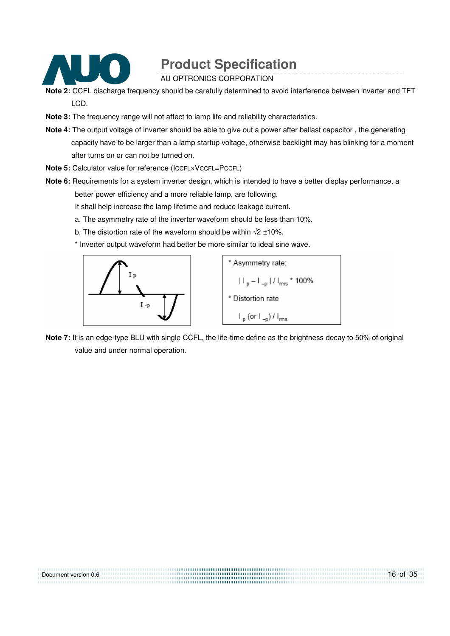

AU OPTRONICS CORPORATION

- **Note 2:** CCFL discharge frequency should be carefully determined to avoid interference between inverter and TFT LCD.
- **Note 3:** The frequency range will not affect to lamp life and reliability characteristics.
- **Note 4:** The output voltage of inverter should be able to give out a power after ballast capacitor , the generating capacity have to be larger than a lamp startup voltage, otherwise backlight may has blinking for a moment after turns on or can not be turned on.
- **Note 5:** Calculator value for reference (ICCFL×VCCFL=PCCFL)
- **Note 6:** Requirements for a system inverter design, which is intended to have a better display performance, a better power efficiency and a more reliable lamp, are following.

It shall help increase the lamp lifetime and reduce leakage current.

- a. The asymmetry rate of the inverter waveform should be less than 10%.
- b. The distortion rate of the waveform should be within  $\sqrt{2}$  ±10%.
- \* Inverter output waveform had better be more similar to ideal sine wave.



**Note 7:** It is an edge-type BLU with single CCFL, the life-time define as the brightness decay to 50% of original value and under normal operation.

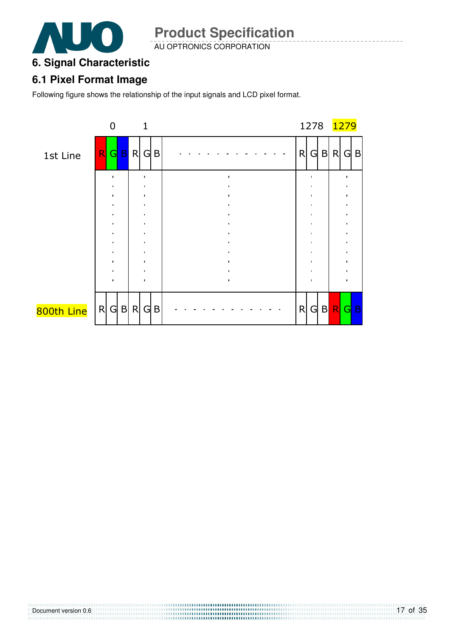

AU OPTRONICS CORPORATION

### **6. Signal Characteristic**

### **6.1 Pixel Format Image**

Following figure shows the relationship of the input signals and LCD pixel format.

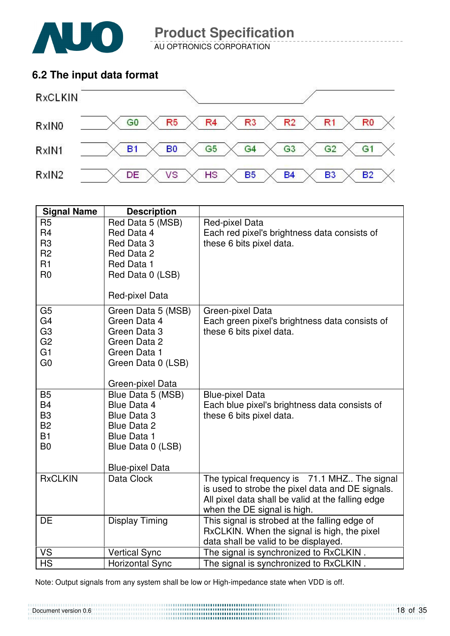

Document version 0.6

**Product Specification** 

AU OPTRONICS CORPORATION

### **6.2 The input data format**



| <b>Signal Name</b>               | <b>Description</b>                      |                                                                                |
|----------------------------------|-----------------------------------------|--------------------------------------------------------------------------------|
| R <sub>5</sub><br>R <sub>4</sub> | Red Data 5 (MSB)<br>Red Data 4          | Red-pixel Data<br>Each red pixel's brightness data consists of                 |
| R <sub>3</sub><br>R <sub>2</sub> | Red Data 3<br>Red Data 2                | these 6 bits pixel data.                                                       |
| R1                               | Red Data 1                              |                                                                                |
| R <sub>0</sub>                   | Red Data 0 (LSB)                        |                                                                                |
|                                  | Red-pixel Data                          |                                                                                |
| G <sub>5</sub>                   | Green Data 5 (MSB)                      | Green-pixel Data                                                               |
| G <sub>4</sub><br>G <sub>3</sub> | Green Data 4<br>Green Data 3            | Each green pixel's brightness data consists of<br>these 6 bits pixel data.     |
| G <sub>2</sub>                   | Green Data 2                            |                                                                                |
| G1                               | Green Data 1                            |                                                                                |
| G <sub>0</sub>                   | Green Data 0 (LSB)                      |                                                                                |
|                                  |                                         |                                                                                |
|                                  | Green-pixel Data                        |                                                                                |
| <b>B5</b><br><b>B4</b>           | Blue Data 5 (MSB)<br><b>Blue Data 4</b> | <b>Blue-pixel Data</b><br>Each blue pixel's brightness data consists of        |
| B <sub>3</sub>                   | <b>Blue Data 3</b>                      | these 6 bits pixel data.                                                       |
| <b>B2</b>                        | <b>Blue Data 2</b>                      |                                                                                |
| <b>B1</b>                        | <b>Blue Data 1</b>                      |                                                                                |
| B <sub>0</sub>                   | Blue Data 0 (LSB)                       |                                                                                |
|                                  | <b>Blue-pixel Data</b>                  |                                                                                |
| <b>RxCLKIN</b>                   | Data Clock                              | The typical frequency is 71.1 MHZ The signal                                   |
|                                  |                                         | is used to strobe the pixel data and DE signals.                               |
|                                  |                                         | All pixel data shall be valid at the falling edge                              |
|                                  |                                         | when the DE signal is high.                                                    |
| DE                               | <b>Display Timing</b>                   | This signal is strobed at the falling edge of                                  |
|                                  |                                         | RxCLKIN. When the signal is high, the pixel                                    |
| <b>VS</b>                        | <b>Vertical Sync</b>                    | data shall be valid to be displayed.<br>The signal is synchronized to RxCLKIN. |
| <b>HS</b>                        | <b>Horizontal Sync</b>                  | The signal is synchronized to RxCLKIN.                                         |
|                                  |                                         |                                                                                |

Note: Output signals from any system shall be low or High-impedance state when VDD is off.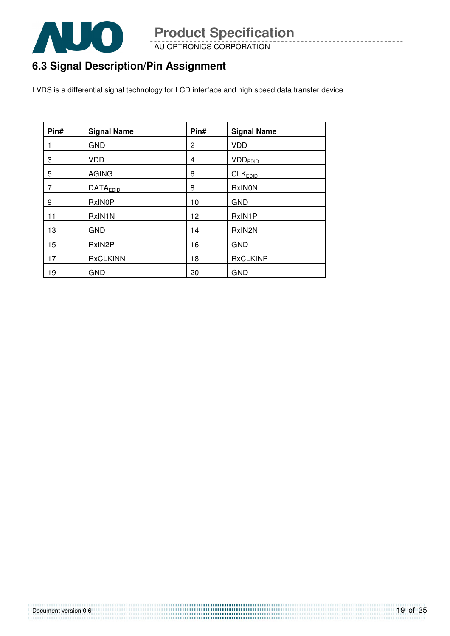

AU OPTRONICS CORPORATION

## **6.3 Signal Description/Pin Assignment**

LVDS is a differential signal technology for LCD interface and high speed data transfer device.

| Pin# | <b>Signal Name</b>  | Pin# | <b>Signal Name</b>  |
|------|---------------------|------|---------------------|
|      | <b>GND</b>          | 2    | <b>VDD</b>          |
| 3    | <b>VDD</b>          | 4    | <b>VDDEDID</b>      |
| 5    | <b>AGING</b>        | 6    | CLK <sub>EDID</sub> |
| 7    | <b>DATAEDID</b>     | 8    | <b>RxINON</b>       |
| 9    | <b>RxINOP</b>       | 10   | <b>GND</b>          |
| 11   | RxIN1N              | 12   | RxIN1P              |
| 13   | <b>GND</b>          | 14   | RxIN2N              |
| 15   | RxIN <sub>2</sub> P | 16   | <b>GND</b>          |
| 17   | <b>RxCLKINN</b>     | 18   | <b>RxCLKINP</b>     |
| 19   | <b>GND</b>          | 20   | <b>GND</b>          |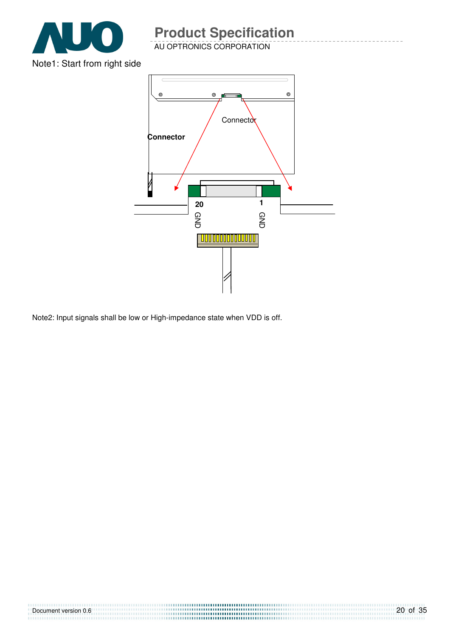

AU OPTRONICS CORPORATION



Note2: Input signals shall be low or High-impedance state when VDD is off.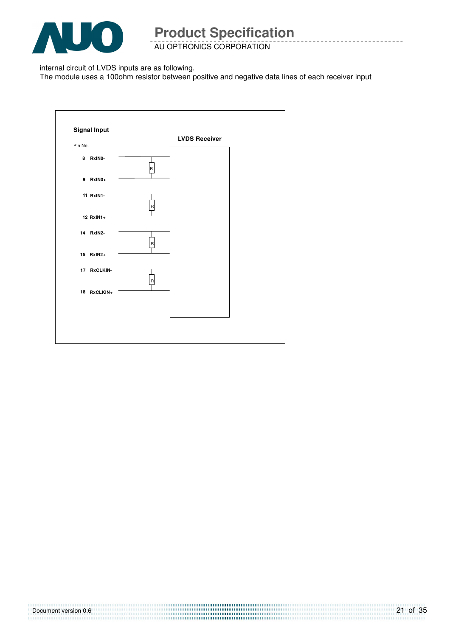

AU OPTRONICS CORPORATION

internal circuit of LVDS inputs are as following.

The module uses a 100ohm resistor between positive and negative data lines of each receiver input

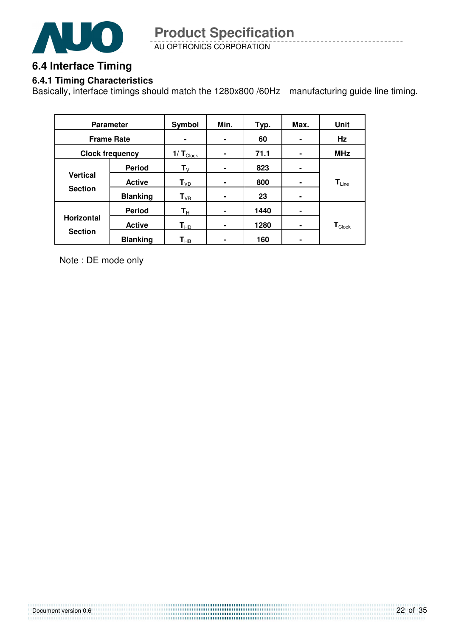

AU OPTRONICS CORPORATION **Product Specification** 

### **6.4 Interface Timing**

### **6.4.1 Timing Characteristics**

Basically, interface timings should match the 1280x800 /60Hz manufacturing guide line timing.

| <b>Parameter</b>  |                        | <b>Symbol</b>              | Min.           | Typ. | Max.           | Unit                        |
|-------------------|------------------------|----------------------------|----------------|------|----------------|-----------------------------|
| <b>Frame Rate</b> |                        | ۰                          | ۰              | 60   |                | Hz                          |
|                   | <b>Clock frequency</b> | $1/T_{\text{Clock}}$       | $\blacksquare$ | 71.1 | $\blacksquare$ | <b>MHz</b>                  |
|                   | <b>Period</b>          | $\mathsf{T}_\mathsf{V}$    | $\blacksquare$ | 823  | ۰              |                             |
| <b>Vertical</b>   | <b>Active</b>          | $T_{VD}$                   | ۰              | 800  | ۰              | $T_{Line}$                  |
| <b>Section</b>    | <b>Blanking</b>        | $T_{VB}$                   | ۰              | 23   | ۰              |                             |
|                   | <b>Period</b>          | $\mathsf{T}_\mathsf{H}$    |                | 1440 | ۰              |                             |
| <b>Horizontal</b> | <b>Active</b>          | $T_{HD}$                   | ۰              | 1280 | ۰              | $\mathbf{T}_{\text{Clock}}$ |
| <b>Section</b>    | <b>Blanking</b>        | $\mathsf{T}_{\mathsf{HB}}$ |                | 160  |                |                             |

Note : DE mode only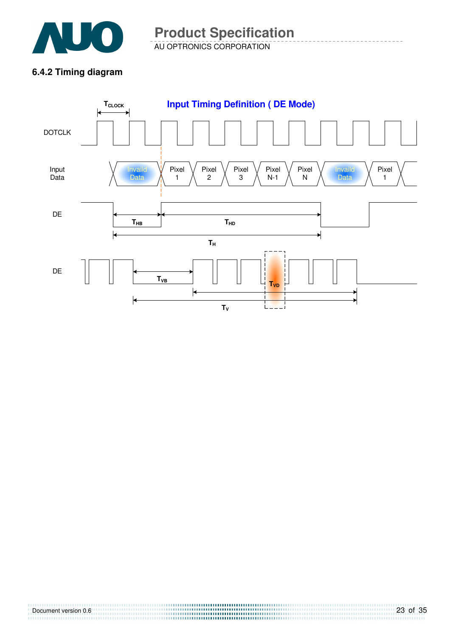

AU OPTRONICS CORPORATION **Product Specification** 

### **6.4.2 Timing diagram**

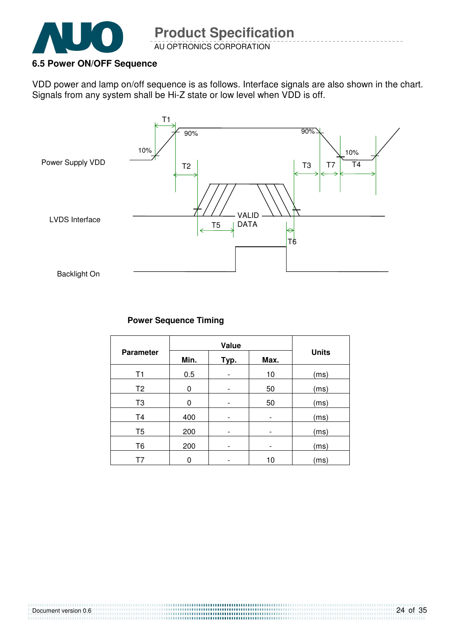

Document version 0.6

### **6.5 Power ON/OFF Sequence**

VDD power and lamp on/off sequence is as follows. Interface signals are also shown in the chart. Signals from any system shall be Hi-Z state or low level when VDD is off.



### **Power Sequence Timing**

| <b>Parameter</b> | Min. | Typ.                     | Max.                         | <b>Units</b> |
|------------------|------|--------------------------|------------------------------|--------------|
| T1               | 0.5  |                          | 10                           | (ms)         |
| T <sub>2</sub>   | 0    |                          | 50                           | (ms)         |
| T <sub>3</sub>   | 0    |                          | 50                           | (ms)         |
| T <sub>4</sub>   | 400  |                          | $\qquad \qquad \blacksquare$ | (ms)         |
| T <sub>5</sub>   | 200  | $\overline{a}$           | $\qquad \qquad \blacksquare$ | (ms)         |
| T <sub>6</sub>   | 200  | $\overline{\phantom{0}}$ | $\overline{\phantom{0}}$     | (ms)         |
| T7               | 0    |                          | 10                           | (ms)         |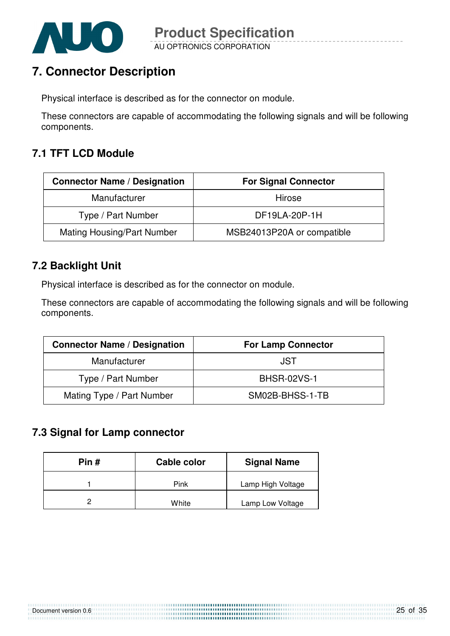

## **7. Connector Description**

Physical interface is described as for the connector on module.

These connectors are capable of accommodating the following signals and will be following components.

### **7.1 TFT LCD Module**

| <b>Connector Name / Designation</b> | <b>For Signal Connector</b> |
|-------------------------------------|-----------------------------|
| Manufacturer                        | Hirose                      |
| Type / Part Number                  | DF19LA-20P-1H               |
| <b>Mating Housing/Part Number</b>   | MSB24013P20A or compatible  |

### **7.2 Backlight Unit**

Physical interface is described as for the connector on module.

These connectors are capable of accommodating the following signals and will be following components.

| <b>Connector Name / Designation</b> | <b>For Lamp Connector</b> |  |
|-------------------------------------|---------------------------|--|
| Manufacturer                        | JST                       |  |
| Type / Part Number                  | <b>BHSR-02VS-1</b>        |  |
| Mating Type / Part Number           | SM02B-BHSS-1-TB           |  |

### **7.3 Signal for Lamp connector**

| Pin # | Cable color | <b>Signal Name</b> |
|-------|-------------|--------------------|
|       | Pink        | Lamp High Voltage  |
|       | White       | Lamp Low Voltage   |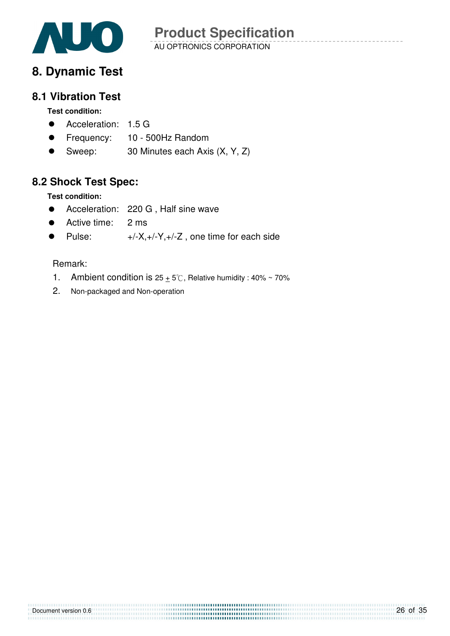

## **8. Dynamic Test**

### **8.1 Vibration Test**

### **Test condition:**

- **•** Acceleration: 1.5 G
- Frequency: 10 500Hz Random
- Sweep: 30 Minutes each Axis (X, Y, Z)

### **8.2 Shock Test Spec:**

**Test condition:** 

- Acceleration: 220 G , Half sine wave
- Active time: 2 ms
- Pulse:  $+/-X,+/-Y,+/-Z$ , one time for each side

### Remark:

- 1. Ambient condition is  $25 + 5^\circ$ C, Relative humidity : 40% ~ 70%
- 2. Non-packaged and Non-operation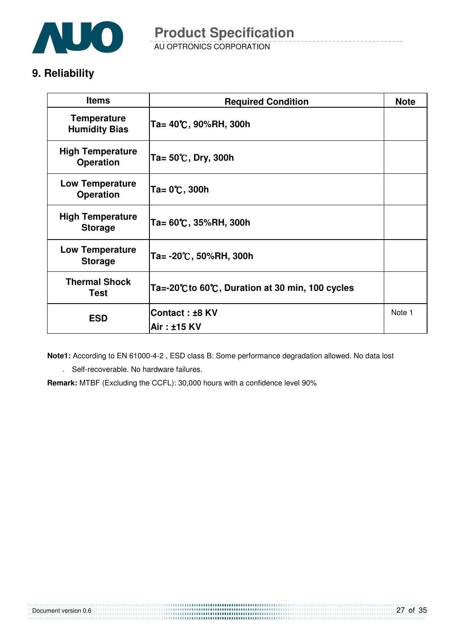

### **9. Reliability**

| <b>Items</b>                                | <b>Required Condition</b>                     |        |
|---------------------------------------------|-----------------------------------------------|--------|
| <b>Temperature</b><br><b>Humidity Bias</b>  | Ta= 40℃, 90%RH, 300h                          |        |
| <b>High Temperature</b><br><b>Operation</b> | Ta= $50^{\circ}$ C, Dry, 300h                 |        |
| <b>Low Temperature</b><br><b>Operation</b>  | Ta= 0℃, 300h                                  |        |
| <b>High Temperature</b><br><b>Storage</b>   | Ta= 60℃, 35%RH, 300h                          |        |
| <b>Low Temperature</b><br><b>Storage</b>    | Ta= -20℃, 50%RH, 300h                         |        |
| <b>Thermal Shock</b><br><b>Test</b>         | Ta=-20℃to 60℃, Duration at 30 min, 100 cycles |        |
| <b>ESD</b>                                  | Contact: ±8 KV                                | Note 1 |
|                                             | Air: ±15 KV                                   |        |

**Note1:** According to EN 61000-4-2 , ESD class B: Some performance degradation allowed. No data lost

. Self-recoverable. No hardware failures.

**Remark:** MTBF (Excluding the CCFL): 30,000 hours with a confidence level 90%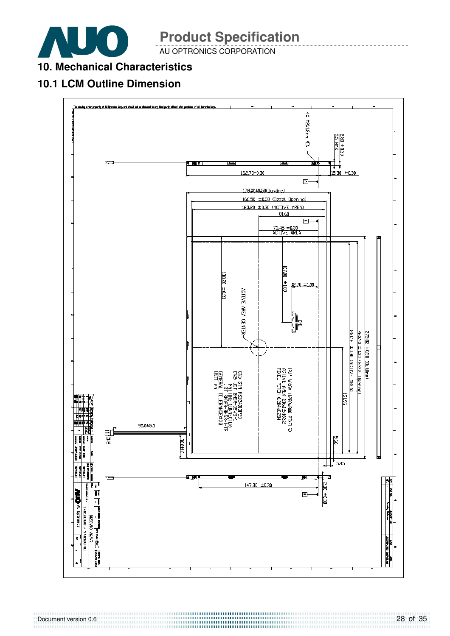

AU OPTRONICS CORPORATION

### **10. Mechanical Characteristics**

### **10.1 LCM Outline Dimension**

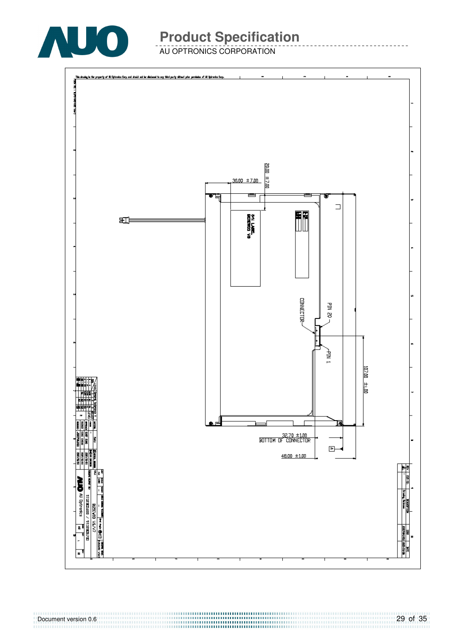

AU OPTRONICS CORPORATION

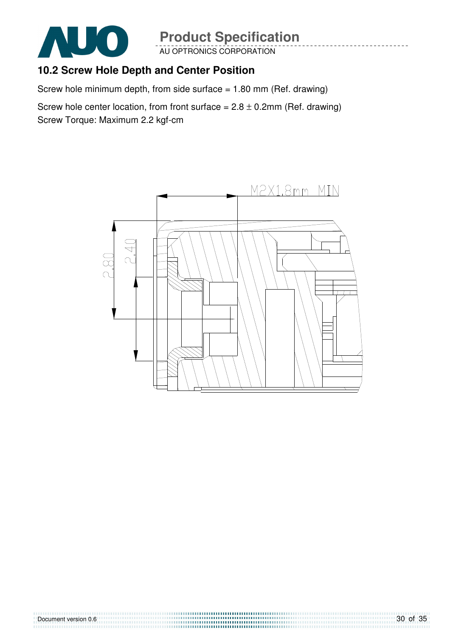

AU OPTRONICS CORPORATION

### **10.2 Screw Hole Depth and Center Position**

Screw hole minimum depth, from side surface  $= 1.80$  mm (Ref. drawing)

Screw hole center location, from front surface =  $2.8 \pm 0.2$ mm (Ref. drawing) Screw Torque: Maximum 2.2 kgf-cm

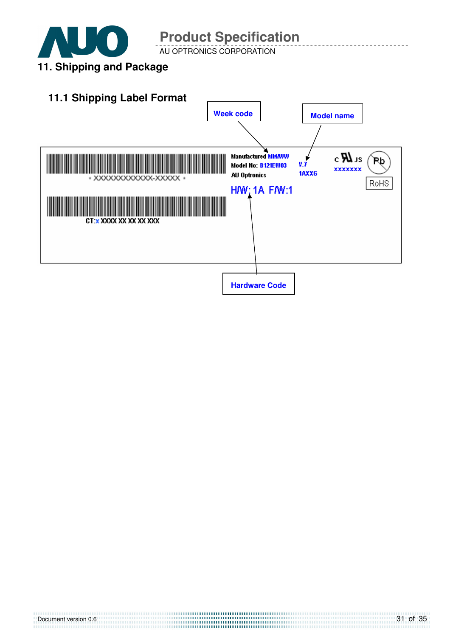

AU OPTRONICS CORPORATION

## **11. Shipping and Package**

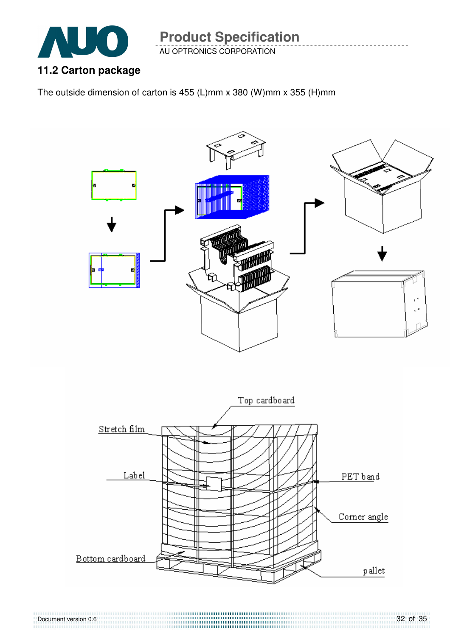

AU OPTRONICS CORPORATION

### **11.2 Carton package**

The outside dimension of carton is 455 (L)mm x 380 (W)mm x 355 (H)mm



Document version 0.6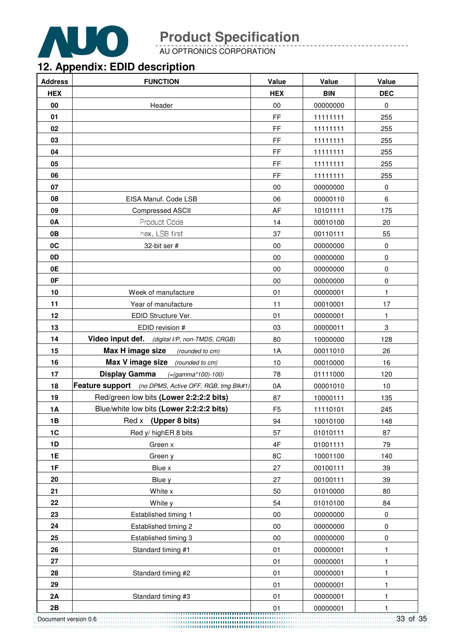

AU OPTRONICS CORPORATION

## **12. Appendix: EDID description**

| <b>Address</b> | <b>FUNCTION</b>                                       | Value          | Value      | Value        |
|----------------|-------------------------------------------------------|----------------|------------|--------------|
| <b>HEX</b>     |                                                       | <b>HEX</b>     | <b>BIN</b> | <b>DEC</b>   |
| 00             | Header                                                | $00\,$         | 00000000   | $\pmb{0}$    |
| 01             |                                                       | FF             | 11111111   | 255          |
| 02             |                                                       | FF             | 11111111   | 255          |
| 03             |                                                       | FF             | 11111111   | 255          |
| 04             |                                                       | FF             | 11111111   | 255          |
| 05             |                                                       | FF             | 11111111   | 255          |
| 06             |                                                       | FF             | 11111111   | 255          |
| 07             |                                                       | $00\,$         | 00000000   | $\pmb{0}$    |
| 08             | EISA Manuf. Code LSB                                  | 06             | 00000110   | 6            |
| 09             | <b>Compressed ASCII</b>                               | AF             | 10101111   | 175          |
| 0A             | Product Code                                          | 14             | 00010100   | 20           |
| 0B             | hex, LSB first                                        | 37             | 00110111   | 55           |
| 0C             | 32-bit ser #                                          | 00             | 00000000   | $\pmb{0}$    |
| 0D             |                                                       | $00\,$         | 00000000   | $\pmb{0}$    |
| 0E             |                                                       | $00\,$         | 00000000   | 0            |
| 0F             |                                                       | 00             | 00000000   | $\pmb{0}$    |
| 10             | Week of manufacture                                   | 01             | 00000001   | $\mathbf{1}$ |
| 11             | Year of manufacture                                   | 11             | 00010001   | 17           |
| 12             | EDID Structure Ver.                                   | 01             | 00000001   | $\mathbf{1}$ |
| 13             | EDID revision #                                       | 03             | 00000011   | 3            |
| 14             | Video input def. (digital I/P, non-TMDS, CRGB)        | 80             | 10000000   | 128          |
| 15             | Max H image size<br>(rounded to cm)                   | 1A             | 00011010   | 26           |
| 16             | <b>Max V image size</b> (rounded to cm)               | 10             | 00010000   | 16           |
| 17             | <b>Display Gamma</b><br>$(=(gamma*100)-100)$          | 78             | 01111000   | 120          |
| 18             | Feature support (no DPMS, Active OFF, RGB, tmg Blk#1) | 0A             | 00001010   | 10           |
| 19             | Red/green low bits (Lower 2:2:2:2 bits)               | 87             | 10000111   | 135          |
| <b>1A</b>      | Blue/white low bits (Lower 2:2:2:2 bits)              | F <sub>5</sub> | 11110101   | 245          |
| 1B             | (Upper 8 bits)<br>Red x                               | 94             | 10010100   | 148          |
| 1C             | Red y/ highER 8 bits                                  | 57             | 01010111   | 87           |
| 1D             | Green x                                               | 4F             | 01001111   | 79           |
| <b>1E</b>      | Green y                                               | 8C             | 10001100   | 140          |
| 1F             | Blue x                                                | 27             | 00100111   | 39           |
| 20             | Blue y                                                | 27             | 00100111   | 39           |
| 21             | White x                                               | 50             | 01010000   | 80           |
| 22             | White y                                               | 54             | 01010100   | 84           |
| 23             | Established timing 1                                  | $00\,$         | 00000000   | $\pmb{0}$    |
| 24             | Established timing 2                                  | 00             | 00000000   | $\pmb{0}$    |
| 25             | Established timing 3                                  | $00\,$         | 00000000   | 0            |
| 26             | Standard timing #1                                    | 01             | 00000001   | 1            |
| 27             |                                                       | 01             | 00000001   | 1            |
| 28             | Standard timing #2                                    | 01             | 00000001   | $\mathbf{1}$ |
| 29             |                                                       | 01             | 00000001   | 1            |
| 2A             | Standard timing #3                                    | 01             | 00000001   | $\mathbf{1}$ |
| 2B             |                                                       | 01             | 00000001   | 1            |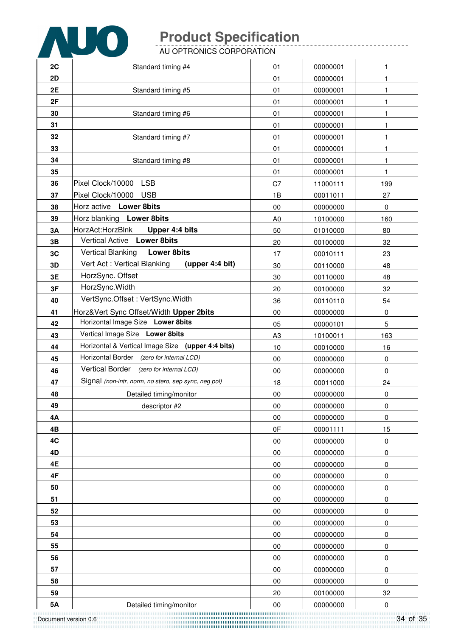

AU OPTRONICS CORPORATION

| 2C | Standard timing #4                                   | 01             | 00000001 | 1            |
|----|------------------------------------------------------|----------------|----------|--------------|
| 2D |                                                      | 01             | 00000001 | $\mathbf{1}$ |
| 2E | Standard timing #5                                   | 01             | 00000001 | 1            |
| 2F |                                                      | 01             | 00000001 | 1            |
| 30 | Standard timing #6                                   | 01             | 00000001 | $\mathbf{1}$ |
| 31 |                                                      | 01             | 00000001 | 1            |
| 32 | Standard timing #7                                   | 01             | 00000001 | 1            |
| 33 |                                                      | 01             | 00000001 | 1            |
| 34 | Standard timing #8                                   | 01             | 00000001 | $\mathbf{1}$ |
| 35 |                                                      | 01             | 00000001 | $\mathbf{1}$ |
| 36 | <b>LSB</b><br>Pixel Clock/10000                      | C7             | 11000111 | 199          |
| 37 | <b>USB</b><br>Pixel Clock/10000                      | 1B             | 00011011 | 27           |
| 38 | Horz active Lower 8bits                              | 00             | 00000000 | 0            |
| 39 | Horz blanking Lower 8bits                            | A <sub>0</sub> | 10100000 | 160          |
| 3A | HorzAct:HorzBlnk<br>Upper 4:4 bits                   | 50             | 01010000 | 80           |
| 3B | Vertical Active Lower 8bits                          | 20             | 00100000 | 32           |
| 3C | <b>Vertical Blanking</b><br><b>Lower 8bits</b>       | 17             | 00010111 | 23           |
| 3D | Vert Act: Vertical Blanking<br>(upper 4:4 bit)       | 30             | 00110000 | 48           |
| 3E | HorzSync. Offset                                     | 30             | 00110000 | 48           |
| 3F | HorzSync. Width                                      | 20             | 00100000 | 32           |
| 40 | VertSync.Offset: VertSync.Width                      | 36             | 00110110 | 54           |
| 41 | Horz‖ Sync Offset/Width Upper 2bits                  | $00\,$         | 00000000 | $\pmb{0}$    |
| 42 | Horizontal Image Size Lower 8bits                    | 05             | 00000101 | 5            |
| 43 | Vertical Image Size Lower 8bits                      | A <sub>3</sub> | 10100011 | 163          |
| 44 | Horizontal & Vertical Image Size (upper 4:4 bits)    | 10             | 00010000 | 16           |
| 45 | Horizontal Border (zero for internal LCD)            | 00             | 00000000 | $\pmb{0}$    |
| 46 | Vertical Border (zero for internal LCD)              | 00             | 00000000 | 0            |
| 47 | Signal (non-intr, norm, no stero, sep sync, neg pol) | 18             | 00011000 | 24           |
| 48 | Detailed timing/monitor                              | $00\,$         | 00000000 | 0            |
| 49 | descriptor #2                                        | 00             | 00000000 | 0            |
| 4A |                                                      | 00             | 00000000 | $\pmb{0}$    |
| 4B |                                                      | 0F             | 00001111 | 15           |
| 4C |                                                      | 00             | 00000000 | 0            |
| 4D |                                                      | 00             | 00000000 | 0            |
| 4E |                                                      | 00             | 00000000 | 0            |
| 4F |                                                      | $00\,$         | 00000000 | $\pmb{0}$    |
| 50 |                                                      | $00\,$         | 00000000 | 0            |
| 51 |                                                      | 00             | 00000000 | 0            |
| 52 |                                                      | 00             | 00000000 | 0            |
| 53 |                                                      | 00             | 00000000 | 0            |
| 54 |                                                      | 00             | 00000000 | 0            |
| 55 |                                                      | $00\,$         | 00000000 | 0            |
| 56 |                                                      | $00\,$         | 00000000 | 0            |
| 57 |                                                      | $00\,$         | 00000000 | 0            |
| 58 |                                                      | 00             | 00000000 | 0            |
| 59 |                                                      | 20             | 00100000 | 32           |
| 5A | Detailed timing/monitor                              | $00\,$         | 00000000 | 0            |

Document version 0.6 **5A** Detailed timing/monitor 00 00000000 0